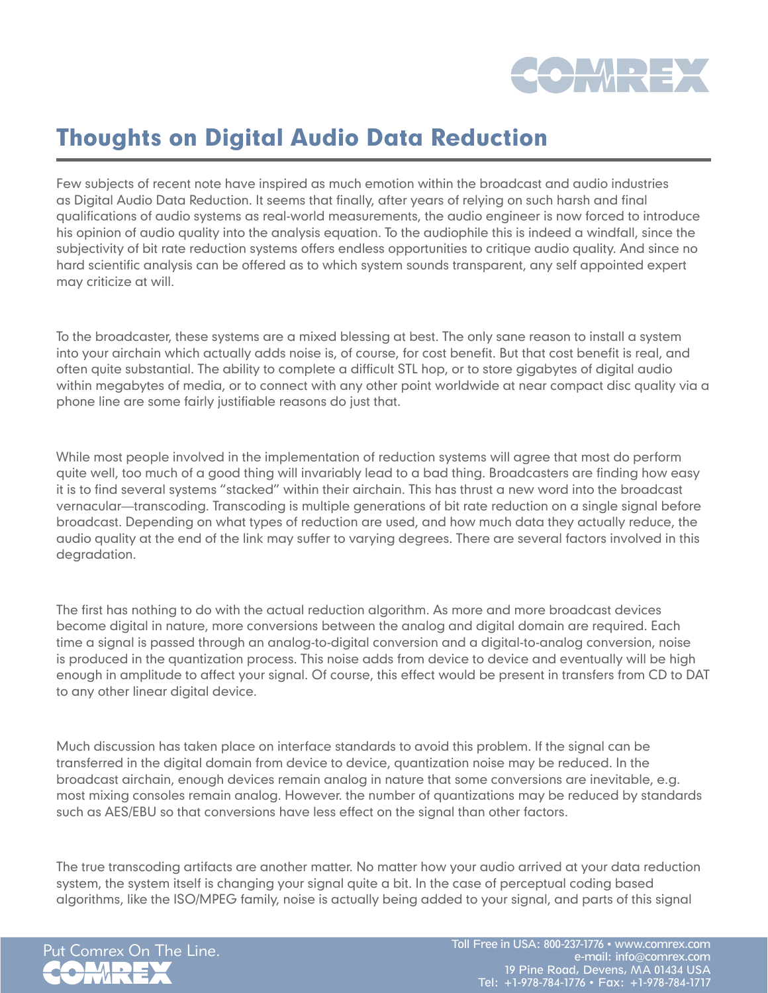

## Thoughts on Digital Audio Data Reduction

Few subjects of recent note have inspired as much emotion within the broadcast and audio industries as Digital Audio Data Reduction. It seems that finally, after years of relying on such harsh and final qualifications of audio systems as real-world measurements, the audio engineer is now forced to introduce his opinion of audio quality into the analysis equation. To the audiophile this is indeed a windfall, since the subjectivity of bit rate reduction systems offers endless opportunities to critique audio quality. And since no hard scientific analysis can be offered as to which system sounds transparent, any self appointed expert may criticize at will.

To the broadcaster, these systems are a mixed blessing at best. The only sane reason to install a system into your airchain which actually adds noise is, of course, for cost benefit. But that cost benefit is real, and often quite substantial. The ability to complete a difficult STL hop, or to store gigabytes of digital audio within megabytes of media, or to connect with any other point worldwide at near compact disc quality via a phone line are some fairly justifiable reasons do just that.

While most people involved in the implementation of reduction systems will agree that most do perform quite well, too much of a good thing will invariably lead to a bad thing. Broadcasters are finding how easy it is to find several systems "stacked" within their airchain. This has thrust a new word into the broadcast vernacular—transcoding. Transcoding is multiple generations of bit rate reduction on a single signal before broadcast. Depending on what types of reduction are used, and how much data they actually reduce, the audio quality at the end of the link may suffer to varying degrees. There are several factors involved in this degradation.

The first has nothing to do with the actual reduction algorithm. As more and more broadcast devices become digital in nature, more conversions between the analog and digital domain are required. Each time a signal is passed through an analog-to-digital conversion and a digital-to-analog conversion, noise is produced in the quantization process. This noise adds from device to device and eventually will be high enough in amplitude to affect your signal. Of course, this effect would be present in transfers from CD to DAT to any other linear digital device.

Much discussion has taken place on interface standards to avoid this problem. If the signal can be transferred in the digital domain from device to device, quantization noise may be reduced. In the broadcast airchain, enough devices remain analog in nature that some conversions are inevitable, e.g. most mixing consoles remain analog. However. the number of quantizations may be reduced by standards such as AES/EBU so that conversions have less effect on the signal than other factors.

The true transcoding artifacts are another matter. No matter how your audio arrived at your data reduction system, the system itself is changing your signal quite a bit. In the case of perceptual coding based algorithms, like the ISO/MPEG family, noise is actually being added to your signal, and parts of this signal